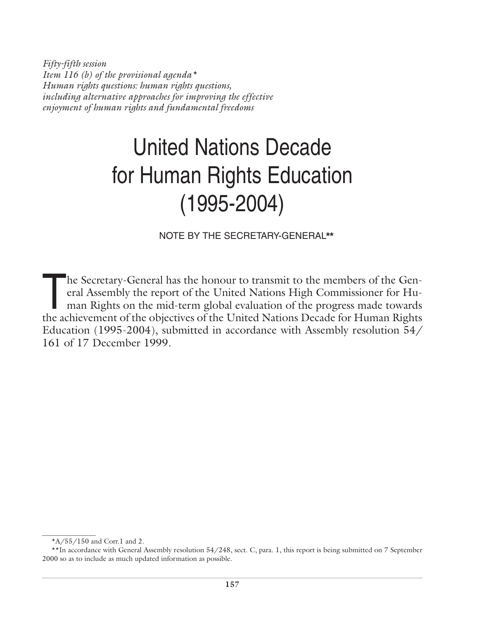*Fifty-fifth session Item 116 (b) of the provisional agenda\* Human rights questions: human rights questions, including alternative approaches for improving the effective enjoyment of human rights and fundamental freedoms*

# United Nations Decade for Human Rights Education (1995-2004)

NOTE BY THE SECRETARY-GENERAL**\*\***

The Secretary-General has the honour to transmit to the members of the General Assembly the report of the United Nations High Commissioner for Human Rights on the mid-term global evaluation of the progress made towards the eral Assembly the report of the United Nations High Commissioner for Human Rights on the mid-term global evaluation of the progress made towards the achievement of the objectives of the United Nations Decade for Human Rights Education (1995-2004), submitted in accordance with Assembly resolution 54/ 161 of 17 December 1999.

\_\_\_\_\_\_\_\_\_\_\_\_\_\_\_

 $*A/55/150$  and Corr.1 and 2.

<sup>\*\*</sup>In accordance with General Assembly resolution 54/248, sect. C, para. 1, this report is being submitted on 7 September 2000 so as to include as much updated information as possible.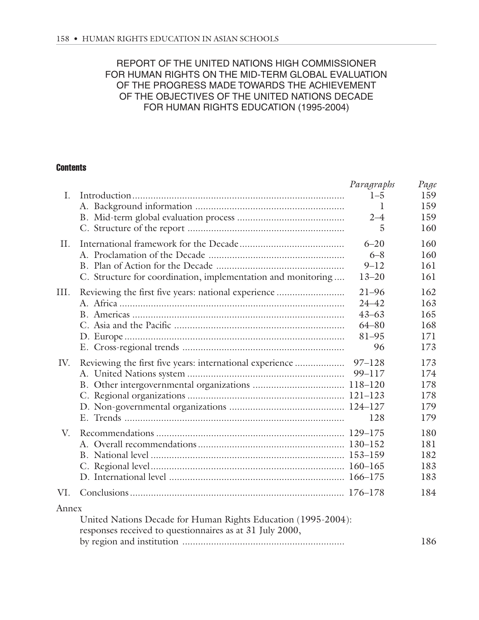## REPORT OF THE UNITED NATIONS HIGH COMMISSIONER FOR HUMAN RIGHTS ON THE MID-TERM GLOBAL EVALUATION OF THE PROGRESS MADE TOWARDS THE ACHIEVEMENT OF THE OBJECTIVES OF THE UNITED NATIONS DECADE FOR HUMAN RIGHTS EDUCATION (1995-2004)

#### **Contents**

|       |                                                               | Paragraphs   | Page |
|-------|---------------------------------------------------------------|--------------|------|
| I.    |                                                               | $1 - 5$      | 159  |
|       |                                                               | $\mathbf{I}$ | 159  |
|       |                                                               | $2 - 4$      | 159  |
|       |                                                               | 5            | 160  |
| II.   |                                                               | $6 - 20$     | 160  |
|       |                                                               | $6 - 8$      | 160  |
|       |                                                               | $9 - 12$     | 161  |
|       | C. Structure for coordination, implementation and monitoring  | $13 - 20$    | 161  |
| III.  | Reviewing the first five years: national experience           | $21 - 96$    | 162  |
|       |                                                               | $24 - 42$    | 163  |
|       |                                                               | $43 - 63$    | 165  |
|       |                                                               | $64 - 80$    | 168  |
|       |                                                               | 81-95        | 171  |
|       |                                                               | 96           | 173  |
| IV.   | Reviewing the first five years: international experience      | $97 - 128$   | 173  |
|       |                                                               | 99-117       | 174  |
|       |                                                               |              | 178  |
|       |                                                               |              | 178  |
|       |                                                               |              | 179  |
|       |                                                               | 128          | 179  |
| V.    |                                                               |              | 180  |
|       |                                                               |              | 181  |
|       |                                                               |              | 182  |
|       |                                                               |              | 183  |
|       |                                                               |              | 183  |
| VI.   |                                                               |              | 184  |
| Annex |                                                               |              |      |
|       | United Nations Decade for Human Rights Education (1995-2004): |              |      |
|       | responses received to questionnaires as at 31 July 2000,      |              |      |
|       |                                                               |              | 186  |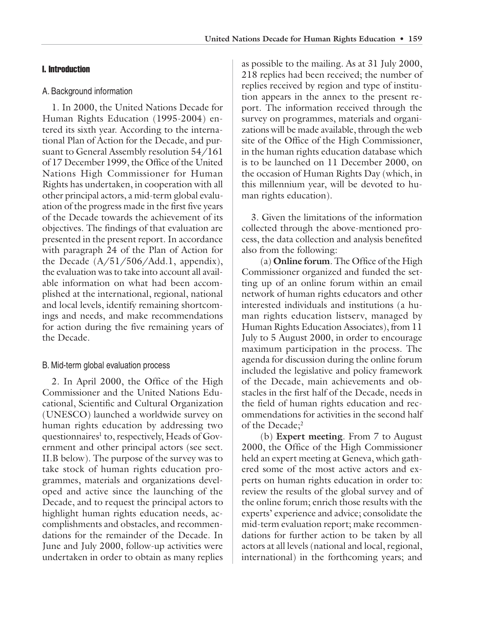#### I. Introduction

#### A. Background information

1. In 2000, the United Nations Decade for Human Rights Education (1995-2004) entered its sixth year. According to the international Plan of Action for the Decade, and pursuant to General Assembly resolution 54/161 of 17 December 1999, the Office of the United Nations High Commissioner for Human Rights has undertaken, in cooperation with all other principal actors, a mid-term global evaluation of the progress made in the first five years of the Decade towards the achievement of its objectives. The findings of that evaluation are presented in the present report. In accordance with paragraph 24 of the Plan of Action for the Decade  $(A/51/506/Add.1$ , appendix), the evaluation was to take into account all available information on what had been accomplished at the international, regional, national and local levels, identify remaining shortcomings and needs, and make recommendations for action during the five remaining years of the Decade.

#### B. Mid-term global evaluation process

2. In April 2000, the Office of the High Commissioner and the United Nations Educational, Scientific and Cultural Organization (UNESCO) launched a worldwide survey on human rights education by addressing two questionnaires<sup>1</sup> to, respectively, Heads of Government and other principal actors (see sect. II.B below). The purpose of the survey was to take stock of human rights education programmes, materials and organizations developed and active since the launching of the Decade, and to request the principal actors to highlight human rights education needs, accomplishments and obstacles, and recommendations for the remainder of the Decade. In June and July 2000, follow-up activities were undertaken in order to obtain as many replies

as possible to the mailing. As at 31 July 2000, 218 replies had been received; the number of replies received by region and type of institution appears in the annex to the present report. The information received through the survey on programmes, materials and organizations will be made available, through the web site of the Office of the High Commissioner, in the human rights education database which is to be launched on 11 December 2000, on the occasion of Human Rights Day (which, in this millennium year, will be devoted to human rights education).

3. Given the limitations of the information collected through the above-mentioned process, the data collection and analysis benefited also from the following:

(a) **Online forum**. The Office of the High Commissioner organized and funded the setting up of an online forum within an email network of human rights educators and other interested individuals and institutions (a human rights education listserv, managed by Human Rights Education Associates), from 11 July to 5 August 2000, in order to encourage maximum participation in the process. The agenda for discussion during the online forum included the legislative and policy framework of the Decade, main achievements and obstacles in the first half of the Decade, needs in the field of human rights education and recommendations for activities in the second half of the Decade;<sup>2</sup>

(b) **Expert meeting**. From 7 to August 2000, the Office of the High Commissioner held an expert meeting at Geneva, which gathered some of the most active actors and experts on human rights education in order to: review the results of the global survey and of the online forum; enrich those results with the experts' experience and advice; consolidate the mid-term evaluation report; make recommendations for further action to be taken by all actors at all levels (national and local, regional, international) in the forthcoming years; and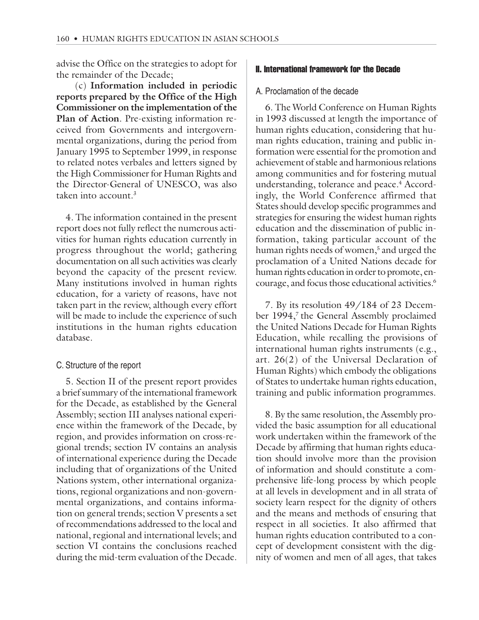advise the Office on the strategies to adopt for the remainder of the Decade;

(c) **Information included in periodic reports prepared by the Office of the High Commissioner on the implementation of the Plan of Action**. Pre-existing information received from Governments and intergovernmental organizations, during the period from January 1995 to September 1999, in response to related notes verbales and letters signed by the High Commissioner for Human Rights and the Director-General of UNESCO, was also taken into account.<sup>3</sup>

4. The information contained in the present report does not fully reflect the numerous activities for human rights education currently in progress throughout the world; gathering documentation on all such activities was clearly beyond the capacity of the present review. Many institutions involved in human rights education, for a variety of reasons, have not taken part in the review, although every effort will be made to include the experience of such institutions in the human rights education database.

#### C. Structure of the report

5. Section II of the present report provides a brief summary of the international framework for the Decade, as established by the General Assembly; section III analyses national experience within the framework of the Decade, by region, and provides information on cross-regional trends; section IV contains an analysis of international experience during the Decade including that of organizations of the United Nations system, other international organizations, regional organizations and non-governmental organizations, and contains information on general trends; section V presents a set of recommendations addressed to the local and national, regional and international levels; and section VI contains the conclusions reached during the mid-term evaluation of the Decade.

#### II. International framework for the Decade

#### A. Proclamation of the decade

6. The World Conference on Human Rights in 1993 discussed at length the importance of human rights education, considering that human rights education, training and public information were essential for the promotion and achievement of stable and harmonious relations among communities and for fostering mutual understanding, tolerance and peace.<sup>4</sup> Accordingly, the World Conference affirmed that States should develop specific programmes and strategies for ensuring the widest human rights education and the dissemination of public information, taking particular account of the human rights needs of women,<sup>5</sup> and urged the proclamation of a United Nations decade for human rights education in order to promote, encourage, and focus those educational activities.6

7. By its resolution 49/184 of 23 December 1994,<sup>7</sup> the General Assembly proclaimed the United Nations Decade for Human Rights Education, while recalling the provisions of international human rights instruments (e.g., art. 26(2) of the Universal Declaration of Human Rights) which embody the obligations of States to undertake human rights education, training and public information programmes.

8. By the same resolution, the Assembly provided the basic assumption for all educational work undertaken within the framework of the Decade by affirming that human rights education should involve more than the provision of information and should constitute a comprehensive life-long process by which people at all levels in development and in all strata of society learn respect for the dignity of others and the means and methods of ensuring that respect in all societies. It also affirmed that human rights education contributed to a concept of development consistent with the dignity of women and men of all ages, that takes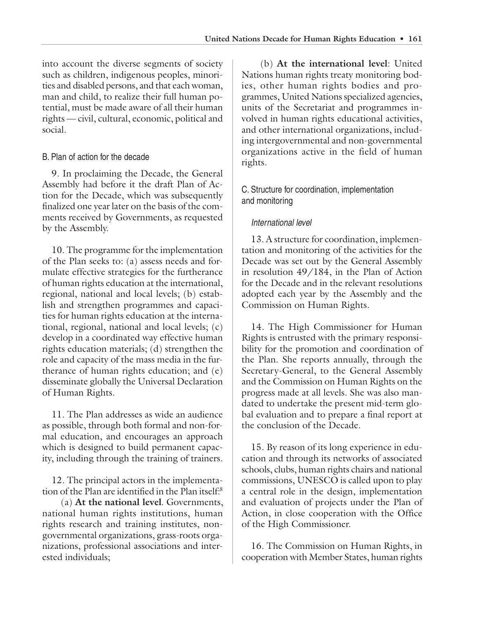into account the diverse segments of society such as children, indigenous peoples, minorities and disabled persons, and that each woman, man and child, to realize their full human potential, must be made aware of all their human rights — civil, cultural, economic, political and social.

## B. Plan of action for the decade

9. In proclaiming the Decade, the General Assembly had before it the draft Plan of Action for the Decade, which was subsequently finalized one year later on the basis of the comments received by Governments, as requested by the Assembly.

10. The programme for the implementation of the Plan seeks to: (a) assess needs and formulate effective strategies for the furtherance of human rights education at the international, regional, national and local levels; (b) establish and strengthen programmes and capacities for human rights education at the international, regional, national and local levels; (c) develop in a coordinated way effective human rights education materials; (d) strengthen the role and capacity of the mass media in the furtherance of human rights education; and (e) disseminate globally the Universal Declaration of Human Rights.

11. The Plan addresses as wide an audience as possible, through both formal and non-formal education, and encourages an approach which is designed to build permanent capacity, including through the training of trainers.

12. The principal actors in the implementation of the Plan are identified in the Plan itself:8

(a) **At the national level**. Governments, national human rights institutions, human rights research and training institutes, nongovernmental organizations, grass-roots organizations, professional associations and interested individuals;

(b) **At the international level**: United Nations human rights treaty monitoring bodies, other human rights bodies and programmes, United Nations specialized agencies, units of the Secretariat and programmes involved in human rights educational activities, and other international organizations, including intergovernmental and non-governmental organizations active in the field of human rights.

## C. Structure for coordination, implementation and monitoring

## International level

13. A structure for coordination, implementation and monitoring of the activities for the Decade was set out by the General Assembly in resolution 49/184, in the Plan of Action for the Decade and in the relevant resolutions adopted each year by the Assembly and the Commission on Human Rights.

14. The High Commissioner for Human Rights is entrusted with the primary responsibility for the promotion and coordination of the Plan. She reports annually, through the Secretary-General, to the General Assembly and the Commission on Human Rights on the progress made at all levels. She was also mandated to undertake the present mid-term global evaluation and to prepare a final report at the conclusion of the Decade.

15. By reason of its long experience in education and through its networks of associated schools, clubs, human rights chairs and national commissions, UNESCO is called upon to play a central role in the design, implementation and evaluation of projects under the Plan of Action, in close cooperation with the Office of the High Commissioner.

16. The Commission on Human Rights, in cooperation with Member States, human rights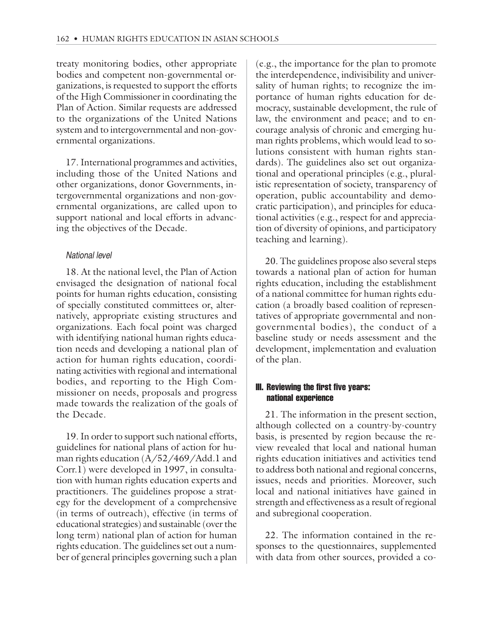treaty monitoring bodies, other appropriate bodies and competent non-governmental organizations, is requested to support the efforts of the High Commissioner in coordinating the Plan of Action. Similar requests are addressed to the organizations of the United Nations system and to intergovernmental and non-governmental organizations.

17. International programmes and activities, including those of the United Nations and other organizations, donor Governments, intergovernmental organizations and non-governmental organizations, are called upon to support national and local efforts in advancing the objectives of the Decade.

#### National level

18. At the national level, the Plan of Action envisaged the designation of national focal points for human rights education, consisting of specially constituted committees or, alternatively, appropriate existing structures and organizations. Each focal point was charged with identifying national human rights education needs and developing a national plan of action for human rights education, coordinating activities with regional and international bodies, and reporting to the High Commissioner on needs, proposals and progress made towards the realization of the goals of the Decade.

19. In order to support such national efforts, guidelines for national plans of action for human rights education (A/52/469/Add.1 and Corr.1) were developed in 1997, in consultation with human rights education experts and practitioners. The guidelines propose a strategy for the development of a comprehensive (in terms of outreach), effective (in terms of educational strategies) and sustainable (over the long term) national plan of action for human rights education. The guidelines set out a number of general principles governing such a plan

(e.g., the importance for the plan to promote the interdependence, indivisibility and universality of human rights; to recognize the importance of human rights education for democracy, sustainable development, the rule of law, the environment and peace; and to encourage analysis of chronic and emerging human rights problems, which would lead to solutions consistent with human rights standards). The guidelines also set out organizational and operational principles (e.g., pluralistic representation of society, transparency of operation, public accountability and democratic participation), and principles for educational activities (e.g., respect for and appreciation of diversity of opinions, and participatory teaching and learning).

20. The guidelines propose also several steps towards a national plan of action for human rights education, including the establishment of a national committee for human rights education (a broadly based coalition of representatives of appropriate governmental and nongovernmental bodies), the conduct of a baseline study or needs assessment and the development, implementation and evaluation of the plan.

#### III. Reviewing the first five years: national experience

21. The information in the present section, although collected on a country-by-country basis, is presented by region because the review revealed that local and national human rights education initiatives and activities tend to address both national and regional concerns, issues, needs and priorities. Moreover, such local and national initiatives have gained in strength and effectiveness as a result of regional and subregional cooperation.

22. The information contained in the responses to the questionnaires, supplemented with data from other sources, provided a co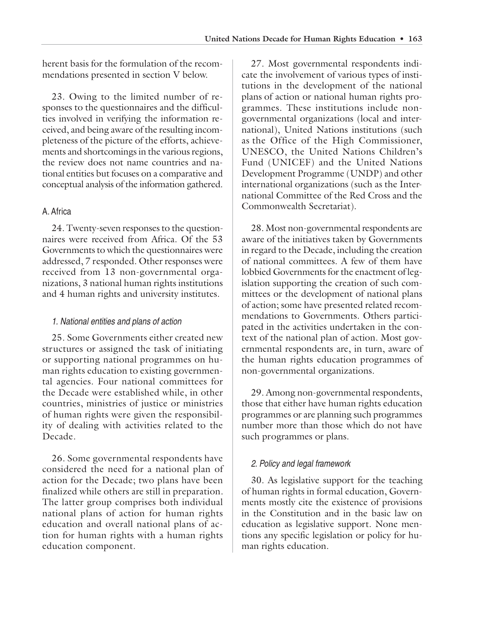herent basis for the formulation of the recommendations presented in section V below.

23. Owing to the limited number of responses to the questionnaires and the difficulties involved in verifying the information received, and being aware of the resulting incompleteness of the picture of the efforts, achievements and shortcomings in the various regions, the review does not name countries and national entities but focuses on a comparative and conceptual analysis of the information gathered.

#### A. Africa

24. Twenty-seven responses to the questionnaires were received from Africa. Of the 53 Governments to which the questionnaires were addressed, 7 responded. Other responses were received from 13 non-governmental organizations, 3 national human rights institutions and 4 human rights and university institutes.

#### 1. National entities and plans of action

25. Some Governments either created new structures or assigned the task of initiating or supporting national programmes on human rights education to existing governmental agencies. Four national committees for the Decade were established while, in other countries, ministries of justice or ministries of human rights were given the responsibility of dealing with activities related to the Decade.

26. Some governmental respondents have considered the need for a national plan of action for the Decade; two plans have been finalized while others are still in preparation. The latter group comprises both individual national plans of action for human rights education and overall national plans of action for human rights with a human rights education component.

27. Most governmental respondents indicate the involvement of various types of institutions in the development of the national plans of action or national human rights programmes. These institutions include nongovernmental organizations (local and international), United Nations institutions (such as the Office of the High Commissioner, UNESCO, the United Nations Children's Fund (UNICEF) and the United Nations Development Programme (UNDP) and other international organizations (such as the International Committee of the Red Cross and the Commonwealth Secretariat).

28. Most non-governmental respondents are aware of the initiatives taken by Governments in regard to the Decade, including the creation of national committees. A few of them have lobbied Governments for the enactment of legislation supporting the creation of such committees or the development of national plans of action; some have presented related recommendations to Governments. Others participated in the activities undertaken in the context of the national plan of action. Most governmental respondents are, in turn, aware of the human rights education programmes of non-governmental organizations.

29. Among non-governmental respondents, those that either have human rights education programmes or are planning such programmes number more than those which do not have such programmes or plans.

#### 2. Policy and legal framework

30. As legislative support for the teaching of human rights in formal education, Governments mostly cite the existence of provisions in the Constitution and in the basic law on education as legislative support. None mentions any specific legislation or policy for human rights education.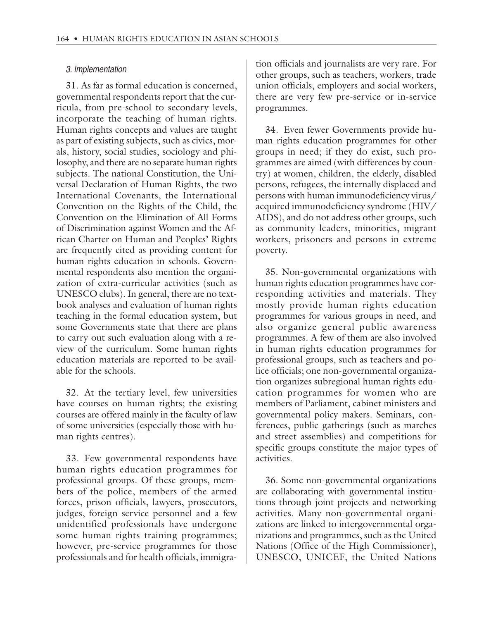#### 3. Implementation

31. As far as formal education is concerned, governmental respondents report that the curricula, from pre-school to secondary levels, incorporate the teaching of human rights. Human rights concepts and values are taught as part of existing subjects, such as civics, morals, history, social studies, sociology and philosophy, and there are no separate human rights subjects. The national Constitution, the Universal Declaration of Human Rights, the two International Covenants, the International Convention on the Rights of the Child, the Convention on the Elimination of All Forms of Discrimination against Women and the African Charter on Human and Peoples' Rights are frequently cited as providing content for human rights education in schools. Governmental respondents also mention the organization of extra-curricular activities (such as UNESCO clubs). In general, there are no textbook analyses and evaluation of human rights teaching in the formal education system, but some Governments state that there are plans to carry out such evaluation along with a review of the curriculum. Some human rights education materials are reported to be available for the schools.

32. At the tertiary level, few universities have courses on human rights; the existing courses are offered mainly in the faculty of law of some universities (especially those with human rights centres).

33. Few governmental respondents have human rights education programmes for professional groups. Of these groups, members of the police, members of the armed forces, prison officials, lawyers, prosecutors, judges, foreign service personnel and a few unidentified professionals have undergone some human rights training programmes; however, pre-service programmes for those professionals and for health officials, immigration officials and journalists are very rare. For other groups, such as teachers, workers, trade union officials, employers and social workers, there are very few pre-service or in-service programmes.

34. Even fewer Governments provide human rights education programmes for other groups in need; if they do exist, such programmes are aimed (with differences by country) at women, children, the elderly, disabled persons, refugees, the internally displaced and persons with human immunodeficiency virus/ acquired immunodeficiency syndrome (HIV/ AIDS), and do not address other groups, such as community leaders, minorities, migrant workers, prisoners and persons in extreme poverty.

35. Non-governmental organizations with human rights education programmes have corresponding activities and materials. They mostly provide human rights education programmes for various groups in need, and also organize general public awareness programmes. A few of them are also involved in human rights education programmes for professional groups, such as teachers and police officials; one non-governmental organization organizes subregional human rights education programmes for women who are members of Parliament, cabinet ministers and governmental policy makers. Seminars, conferences, public gatherings (such as marches and street assemblies) and competitions for specific groups constitute the major types of activities.

36. Some non-governmental organizations are collaborating with governmental institutions through joint projects and networking activities. Many non-governmental organizations are linked to intergovernmental organizations and programmes, such as the United Nations (Office of the High Commissioner), UNESCO, UNICEF, the United Nations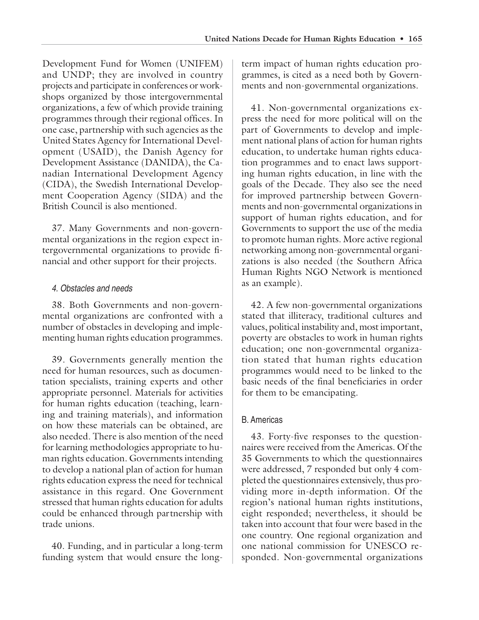Development Fund for Women (UNIFEM) and UNDP; they are involved in country projects and participate in conferences or workshops organized by those intergovernmental organizations, a few of which provide training programmes through their regional offices. In one case, partnership with such agencies as the United States Agency for International Development (USAID), the Danish Agency for Development Assistance (DANIDA), the Canadian International Development Agency (CIDA), the Swedish International Development Cooperation Agency (SIDA) and the British Council is also mentioned.

37. Many Governments and non-governmental organizations in the region expect intergovernmental organizations to provide financial and other support for their projects.

## 4. Obstacles and needs

38. Both Governments and non-governmental organizations are confronted with a number of obstacles in developing and implementing human rights education programmes.

39. Governments generally mention the need for human resources, such as documentation specialists, training experts and other appropriate personnel. Materials for activities for human rights education (teaching, learning and training materials), and information on how these materials can be obtained, are also needed. There is also mention of the need for learning methodologies appropriate to human rights education. Governments intending to develop a national plan of action for human rights education express the need for technical assistance in this regard. One Government stressed that human rights education for adults could be enhanced through partnership with trade unions.

40. Funding, and in particular a long-term funding system that would ensure the longterm impact of human rights education programmes, is cited as a need both by Governments and non-governmental organizations.

41. Non-governmental organizations express the need for more political will on the part of Governments to develop and implement national plans of action for human rights education, to undertake human rights education programmes and to enact laws supporting human rights education, in line with the goals of the Decade. They also see the need for improved partnership between Governments and non-governmental organizations in support of human rights education, and for Governments to support the use of the media to promote human rights. More active regional networking among non-governmental organizations is also needed (the Southern Africa Human Rights NGO Network is mentioned as an example).

42. A few non-governmental organizations stated that illiteracy, traditional cultures and values, political instability and, most important, poverty are obstacles to work in human rights education; one non-governmental organization stated that human rights education programmes would need to be linked to the basic needs of the final beneficiaries in order for them to be emancipating.

## B. Americas

43. Forty-five responses to the questionnaires were received from the Americas. Of the 35 Governments to which the questionnaires were addressed, 7 responded but only 4 completed the questionnaires extensively, thus providing more in-depth information. Of the region's national human rights institutions, eight responded; nevertheless, it should be taken into account that four were based in the one country. One regional organization and one national commission for UNESCO responded. Non-governmental organizations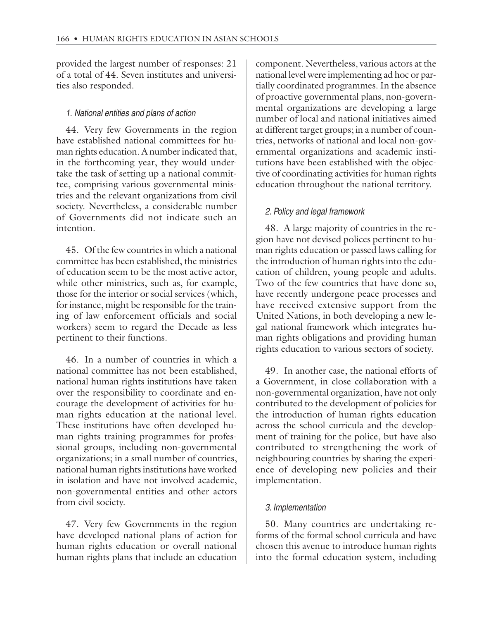provided the largest number of responses: 21 of a total of 44. Seven institutes and universities also responded.

#### 1. National entities and plans of action

44. Very few Governments in the region have established national committees for human rights education. A number indicated that, in the forthcoming year, they would undertake the task of setting up a national committee, comprising various governmental ministries and the relevant organizations from civil society. Nevertheless, a considerable number of Governments did not indicate such an intention.

45. Of the few countries in which a national committee has been established, the ministries of education seem to be the most active actor, while other ministries, such as, for example, those for the interior or social services (which, for instance, might be responsible for the training of law enforcement officials and social workers) seem to regard the Decade as less pertinent to their functions.

46. In a number of countries in which a national committee has not been established, national human rights institutions have taken over the responsibility to coordinate and encourage the development of activities for human rights education at the national level. These institutions have often developed human rights training programmes for professional groups, including non-governmental organizations; in a small number of countries, national human rights institutions have worked in isolation and have not involved academic, non-governmental entities and other actors from civil society.

47. Very few Governments in the region have developed national plans of action for human rights education or overall national human rights plans that include an education

component. Nevertheless, various actors at the national level were implementing ad hoc or partially coordinated programmes. In the absence of proactive governmental plans, non-governmental organizations are developing a large number of local and national initiatives aimed at different target groups; in a number of countries, networks of national and local non-governmental organizations and academic institutions have been established with the objective of coordinating activities for human rights education throughout the national territory.

#### 2. Policy and legal framework

48. A large majority of countries in the region have not devised polices pertinent to human rights education or passed laws calling for the introduction of human rights into the education of children, young people and adults. Two of the few countries that have done so, have recently undergone peace processes and have received extensive support from the United Nations, in both developing a new legal national framework which integrates human rights obligations and providing human rights education to various sectors of society.

49. In another case, the national efforts of a Government, in close collaboration with a non-governmental organization, have not only contributed to the development of policies for the introduction of human rights education across the school curricula and the development of training for the police, but have also contributed to strengthening the work of neighbouring countries by sharing the experience of developing new policies and their implementation.

#### 3. Implementation

50. Many countries are undertaking reforms of the formal school curricula and have chosen this avenue to introduce human rights into the formal education system, including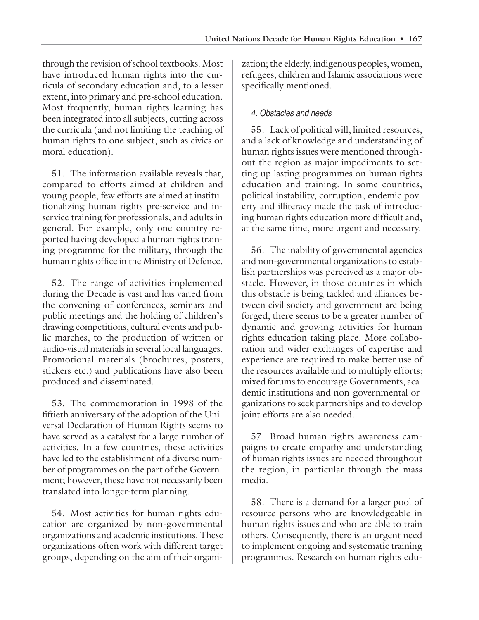through the revision of school textbooks. Most have introduced human rights into the curricula of secondary education and, to a lesser extent, into primary and pre-school education. Most frequently, human rights learning has been integrated into all subjects, cutting across the curricula (and not limiting the teaching of human rights to one subject, such as civics or moral education).

51. The information available reveals that, compared to efforts aimed at children and young people, few efforts are aimed at institutionalizing human rights pre-service and inservice training for professionals, and adults in general. For example, only one country reported having developed a human rights training programme for the military, through the human rights office in the Ministry of Defence.

52. The range of activities implemented during the Decade is vast and has varied from the convening of conferences, seminars and public meetings and the holding of children's drawing competitions, cultural events and public marches, to the production of written or audio-visual materials in several local languages. Promotional materials (brochures, posters, stickers etc.) and publications have also been produced and disseminated.

53. The commemoration in 1998 of the fiftieth anniversary of the adoption of the Universal Declaration of Human Rights seems to have served as a catalyst for a large number of activities. In a few countries, these activities have led to the establishment of a diverse number of programmes on the part of the Government; however, these have not necessarily been translated into longer-term planning.

54. Most activities for human rights education are organized by non-governmental organizations and academic institutions. These organizations often work with different target groups, depending on the aim of their organi-

zation; the elderly, indigenous peoples, women, refugees, children and Islamic associations were specifically mentioned.

## 4. Obstacles and needs

55. Lack of political will, limited resources, and a lack of knowledge and understanding of human rights issues were mentioned throughout the region as major impediments to setting up lasting programmes on human rights education and training. In some countries, political instability, corruption, endemic poverty and illiteracy made the task of introducing human rights education more difficult and, at the same time, more urgent and necessary.

56. The inability of governmental agencies and non-governmental organizations to establish partnerships was perceived as a major obstacle. However, in those countries in which this obstacle is being tackled and alliances between civil society and government are being forged, there seems to be a greater number of dynamic and growing activities for human rights education taking place. More collaboration and wider exchanges of expertise and experience are required to make better use of the resources available and to multiply efforts; mixed forums to encourage Governments, academic institutions and non-governmental organizations to seek partnerships and to develop joint efforts are also needed.

57. Broad human rights awareness campaigns to create empathy and understanding of human rights issues are needed throughout the region, in particular through the mass media.

58. There is a demand for a larger pool of resource persons who are knowledgeable in human rights issues and who are able to train others. Consequently, there is an urgent need to implement ongoing and systematic training programmes. Research on human rights edu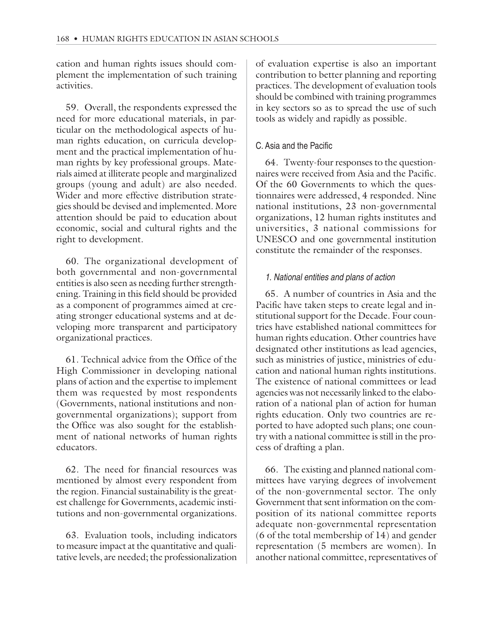cation and human rights issues should complement the implementation of such training activities.

59. Overall, the respondents expressed the need for more educational materials, in particular on the methodological aspects of human rights education, on curricula development and the practical implementation of human rights by key professional groups. Materials aimed at illiterate people and marginalized groups (young and adult) are also needed. Wider and more effective distribution strategies should be devised and implemented. More attention should be paid to education about economic, social and cultural rights and the right to development.

60. The organizational development of both governmental and non-governmental entities is also seen as needing further strengthening. Training in this field should be provided as a component of programmes aimed at creating stronger educational systems and at developing more transparent and participatory organizational practices.

61. Technical advice from the Office of the High Commissioner in developing national plans of action and the expertise to implement them was requested by most respondents (Governments, national institutions and nongovernmental organizations); support from the Office was also sought for the establishment of national networks of human rights educators.

62. The need for financial resources was mentioned by almost every respondent from the region. Financial sustainability is the greatest challenge for Governments, academic institutions and non-governmental organizations.

63. Evaluation tools, including indicators to measure impact at the quantitative and qualitative levels, are needed; the professionalization of evaluation expertise is also an important contribution to better planning and reporting practices. The development of evaluation tools should be combined with training programmes in key sectors so as to spread the use of such tools as widely and rapidly as possible.

## C. Asia and the Pacific

64. Twenty-four responses to the questionnaires were received from Asia and the Pacific. Of the 60 Governments to which the questionnaires were addressed, 4 responded. Nine national institutions, 23 non-governmental organizations, 12 human rights institutes and universities, 3 national commissions for UNESCO and one governmental institution constitute the remainder of the responses.

## 1. National entities and plans of action

65. A number of countries in Asia and the Pacific have taken steps to create legal and institutional support for the Decade. Four countries have established national committees for human rights education. Other countries have designated other institutions as lead agencies, such as ministries of justice, ministries of education and national human rights institutions. The existence of national committees or lead agencies was not necessarily linked to the elaboration of a national plan of action for human rights education. Only two countries are reported to have adopted such plans; one country with a national committee is still in the process of drafting a plan.

66. The existing and planned national committees have varying degrees of involvement of the non-governmental sector. The only Government that sent information on the composition of its national committee reports adequate non-governmental representation (6 of the total membership of 14) and gender representation (5 members are women). In another national committee, representatives of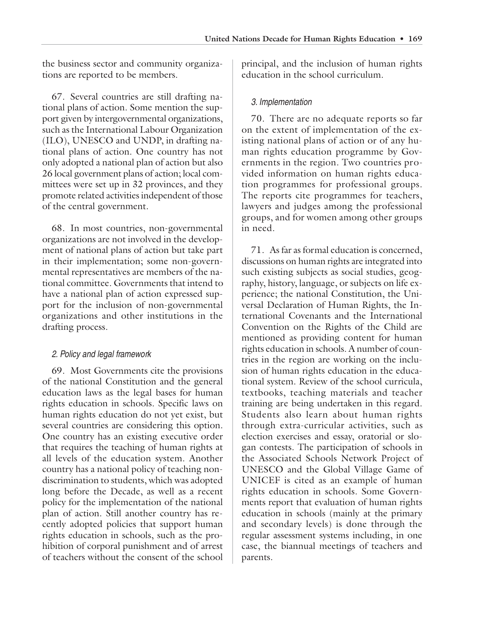the business sector and community organizations are reported to be members.

67. Several countries are still drafting national plans of action. Some mention the support given by intergovernmental organizations, such as the International Labour Organization (ILO), UNESCO and UNDP, in drafting national plans of action. One country has not only adopted a national plan of action but also 26 local government plans of action; local committees were set up in 32 provinces, and they promote related activities independent of those of the central government.

68. In most countries, non-governmental organizations are not involved in the development of national plans of action but take part in their implementation; some non-governmental representatives are members of the national committee. Governments that intend to have a national plan of action expressed support for the inclusion of non-governmental organizations and other institutions in the drafting process.

#### 2. Policy and legal framework

69. Most Governments cite the provisions of the national Constitution and the general education laws as the legal bases for human rights education in schools. Specific laws on human rights education do not yet exist, but several countries are considering this option. One country has an existing executive order that requires the teaching of human rights at all levels of the education system. Another country has a national policy of teaching nondiscrimination to students, which was adopted long before the Decade, as well as a recent policy for the implementation of the national plan of action. Still another country has recently adopted policies that support human rights education in schools, such as the prohibition of corporal punishment and of arrest of teachers without the consent of the school

principal, and the inclusion of human rights education in the school curriculum.

#### 3. Implementation

70. There are no adequate reports so far on the extent of implementation of the existing national plans of action or of any human rights education programme by Governments in the region. Two countries provided information on human rights education programmes for professional groups. The reports cite programmes for teachers, lawyers and judges among the professional groups, and for women among other groups in need.

71. As far as formal education is concerned, discussions on human rights are integrated into such existing subjects as social studies, geography, history, language, or subjects on life experience; the national Constitution, the Universal Declaration of Human Rights, the International Covenants and the International Convention on the Rights of the Child are mentioned as providing content for human rights education in schools. A number of countries in the region are working on the inclusion of human rights education in the educational system. Review of the school curricula, textbooks, teaching materials and teacher training are being undertaken in this regard. Students also learn about human rights through extra-curricular activities, such as election exercises and essay, oratorial or slogan contests. The participation of schools in the Associated Schools Network Project of UNESCO and the Global Village Game of UNICEF is cited as an example of human rights education in schools. Some Governments report that evaluation of human rights education in schools (mainly at the primary and secondary levels) is done through the regular assessment systems including, in one case, the biannual meetings of teachers and parents.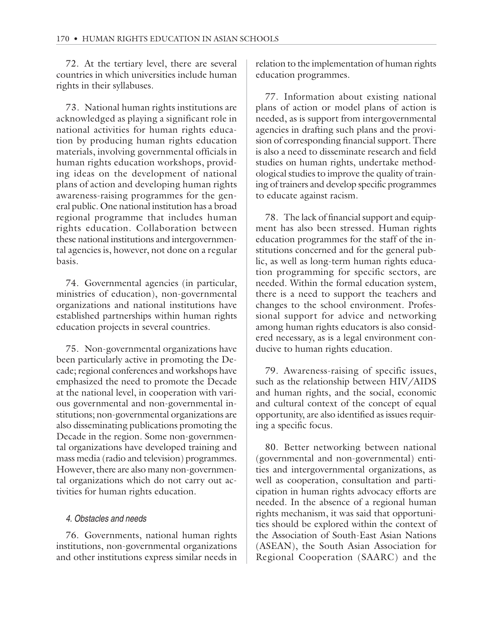72. At the tertiary level, there are several countries in which universities include human rights in their syllabuses.

73. National human rights institutions are acknowledged as playing a significant role in national activities for human rights education by producing human rights education materials, involving governmental officials in human rights education workshops, providing ideas on the development of national plans of action and developing human rights awareness-raising programmes for the general public. One national institution has a broad regional programme that includes human rights education. Collaboration between these national institutions and intergovernmental agencies is, however, not done on a regular basis.

74. Governmental agencies (in particular, ministries of education), non-governmental organizations and national institutions have established partnerships within human rights education projects in several countries.

75. Non-governmental organizations have been particularly active in promoting the Decade; regional conferences and workshops have emphasized the need to promote the Decade at the national level, in cooperation with various governmental and non-governmental institutions; non-governmental organizations are also disseminating publications promoting the Decade in the region. Some non-governmental organizations have developed training and mass media (radio and television) programmes. However, there are also many non-governmental organizations which do not carry out activities for human rights education.

## 4. Obstacles and needs

76. Governments, national human rights institutions, non-governmental organizations and other institutions express similar needs in relation to the implementation of human rights education programmes.

77. Information about existing national plans of action or model plans of action is needed, as is support from intergovernmental agencies in drafting such plans and the provision of corresponding financial support. There is also a need to disseminate research and field studies on human rights, undertake methodological studies to improve the quality of training of trainers and develop specific programmes to educate against racism.

78. The lack of financial support and equipment has also been stressed. Human rights education programmes for the staff of the institutions concerned and for the general public, as well as long-term human rights education programming for specific sectors, are needed. Within the formal education system, there is a need to support the teachers and changes to the school environment. Professional support for advice and networking among human rights educators is also considered necessary, as is a legal environment conducive to human rights education.

79. Awareness-raising of specific issues, such as the relationship between HIV/AIDS and human rights, and the social, economic and cultural context of the concept of equal opportunity, are also identified as issues requiring a specific focus.

80. Better networking between national (governmental and non-governmental) entities and intergovernmental organizations, as well as cooperation, consultation and participation in human rights advocacy efforts are needed. In the absence of a regional human rights mechanism, it was said that opportunities should be explored within the context of the Association of South-East Asian Nations (ASEAN), the South Asian Association for Regional Cooperation (SAARC) and the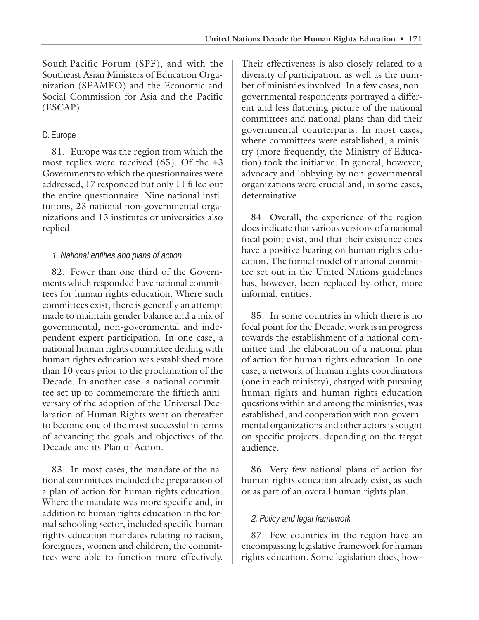South Pacific Forum (SPF), and with the Southeast Asian Ministers of Education Organization (SEAMEO) and the Economic and Social Commission for Asia and the Pacific (ESCAP).

## D. Europe

81. Europe was the region from which the most replies were received (65). Of the 43 Governments to which the questionnaires were addressed, 17 responded but only 11 filled out the entire questionnaire. Nine national institutions, 23 national non-governmental organizations and 13 institutes or universities also replied.

#### 1. National entities and plans of action

82. Fewer than one third of the Governments which responded have national committees for human rights education. Where such committees exist, there is generally an attempt made to maintain gender balance and a mix of governmental, non-governmental and independent expert participation. In one case, a national human rights committee dealing with human rights education was established more than 10 years prior to the proclamation of the Decade. In another case, a national committee set up to commemorate the fiftieth anniversary of the adoption of the Universal Declaration of Human Rights went on thereafter to become one of the most successful in terms of advancing the goals and objectives of the Decade and its Plan of Action.

83. In most cases, the mandate of the national committees included the preparation of a plan of action for human rights education. Where the mandate was more specific and, in addition to human rights education in the formal schooling sector, included specific human rights education mandates relating to racism, foreigners, women and children, the committees were able to function more effectively.

Their effectiveness is also closely related to a diversity of participation, as well as the number of ministries involved. In a few cases, nongovernmental respondents portrayed a different and less flattering picture of the national committees and national plans than did their governmental counterparts. In most cases, where committees were established, a ministry (more frequently, the Ministry of Education) took the initiative. In general, however, advocacy and lobbying by non-governmental organizations were crucial and, in some cases, determinative.

84. Overall, the experience of the region does indicate that various versions of a national focal point exist, and that their existence does have a positive bearing on human rights education. The formal model of national committee set out in the United Nations guidelines has, however, been replaced by other, more informal, entities.

85. In some countries in which there is no focal point for the Decade, work is in progress towards the establishment of a national committee and the elaboration of a national plan of action for human rights education. In one case, a network of human rights coordinators (one in each ministry), charged with pursuing human rights and human rights education questions within and among the ministries, was established, and cooperation with non-governmental organizations and other actors is sought on specific projects, depending on the target audience.

86. Very few national plans of action for human rights education already exist, as such or as part of an overall human rights plan.

## 2. Policy and legal framework

87. Few countries in the region have an encompassing legislative framework for human rights education. Some legislation does, how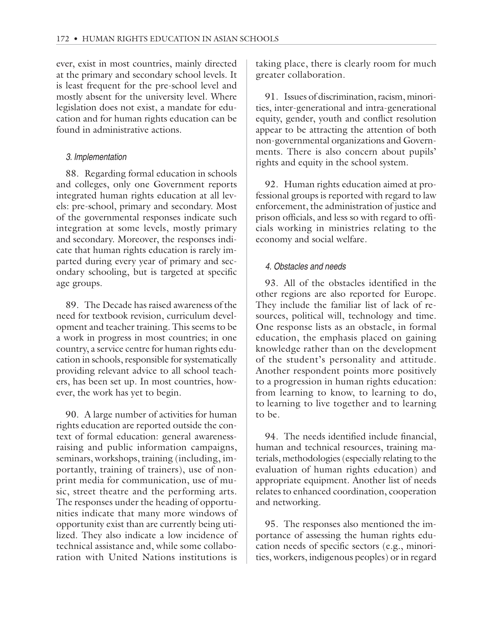ever, exist in most countries, mainly directed at the primary and secondary school levels. It is least frequent for the pre-school level and mostly absent for the university level. Where legislation does not exist, a mandate for education and for human rights education can be found in administrative actions.

#### 3. Implementation

88. Regarding formal education in schools and colleges, only one Government reports integrated human rights education at all levels: pre-school, primary and secondary. Most of the governmental responses indicate such integration at some levels, mostly primary and secondary. Moreover, the responses indicate that human rights education is rarely imparted during every year of primary and secondary schooling, but is targeted at specific age groups.

89. The Decade has raised awareness of the need for textbook revision, curriculum development and teacher training. This seems to be a work in progress in most countries; in one country, a service centre for human rights education in schools, responsible for systematically providing relevant advice to all school teachers, has been set up. In most countries, however, the work has yet to begin.

90. A large number of activities for human rights education are reported outside the context of formal education: general awarenessraising and public information campaigns, seminars, workshops, training (including, importantly, training of trainers), use of nonprint media for communication, use of music, street theatre and the performing arts. The responses under the heading of opportunities indicate that many more windows of opportunity exist than are currently being utilized. They also indicate a low incidence of technical assistance and, while some collaboration with United Nations institutions is

taking place, there is clearly room for much greater collaboration.

91. Issues of discrimination, racism, minorities, inter-generational and intra-generational equity, gender, youth and conflict resolution appear to be attracting the attention of both non-governmental organizations and Governments. There is also concern about pupils' rights and equity in the school system.

92. Human rights education aimed at professional groups is reported with regard to law enforcement, the administration of justice and prison officials, and less so with regard to officials working in ministries relating to the economy and social welfare.

#### 4. Obstacles and needs

93. All of the obstacles identified in the other regions are also reported for Europe. They include the familiar list of lack of resources, political will, technology and time. One response lists as an obstacle, in formal education, the emphasis placed on gaining knowledge rather than on the development of the student's personality and attitude. Another respondent points more positively to a progression in human rights education: from learning to know, to learning to do, to learning to live together and to learning to be.

94. The needs identified include financial, human and technical resources, training materials, methodologies (especially relating to the evaluation of human rights education) and appropriate equipment. Another list of needs relates to enhanced coordination, cooperation and networking.

95. The responses also mentioned the importance of assessing the human rights education needs of specific sectors (e.g., minorities, workers, indigenous peoples) or in regard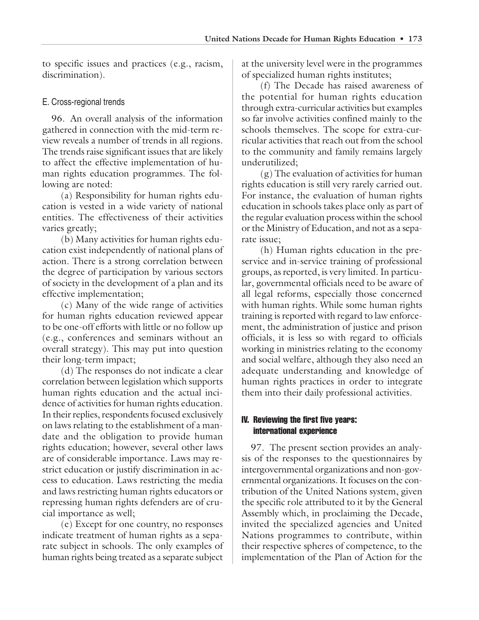to specific issues and practices (e.g., racism, discrimination).

#### E. Cross-regional trends

96. An overall analysis of the information gathered in connection with the mid-term review reveals a number of trends in all regions. The trends raise significant issues that are likely to affect the effective implementation of human rights education programmes. The following are noted:

(a) Responsibility for human rights education is vested in a wide variety of national entities. The effectiveness of their activities varies greatly;

(b) Many activities for human rights education exist independently of national plans of action. There is a strong correlation between the degree of participation by various sectors of society in the development of a plan and its effective implementation;

(c) Many of the wide range of activities for human rights education reviewed appear to be one-off efforts with little or no follow up (e.g., conferences and seminars without an overall strategy). This may put into question their long-term impact;

(d) The responses do not indicate a clear correlation between legislation which supports human rights education and the actual incidence of activities for human rights education. In their replies, respondents focused exclusively on laws relating to the establishment of a mandate and the obligation to provide human rights education; however, several other laws are of considerable importance. Laws may restrict education or justify discrimination in access to education. Laws restricting the media and laws restricting human rights educators or repressing human rights defenders are of crucial importance as well;

(e) Except for one country, no responses indicate treatment of human rights as a separate subject in schools. The only examples of human rights being treated as a separate subject

at the university level were in the programmes of specialized human rights institutes;

(f) The Decade has raised awareness of the potential for human rights education through extra-curricular activities but examples so far involve activities confined mainly to the schools themselves. The scope for extra-curricular activities that reach out from the school to the community and family remains largely underutilized;

(g) The evaluation of activities for human rights education is still very rarely carried out. For instance, the evaluation of human rights education in schools takes place only as part of the regular evaluation process within the school or the Ministry of Education, and not as a separate issue;

(h) Human rights education in the preservice and in-service training of professional groups, as reported, is very limited. In particular, governmental officials need to be aware of all legal reforms, especially those concerned with human rights. While some human rights training is reported with regard to law enforcement, the administration of justice and prison officials, it is less so with regard to officials working in ministries relating to the economy and social welfare, although they also need an adequate understanding and knowledge of human rights practices in order to integrate them into their daily professional activities.

#### IV. Reviewing the first five years: international experience

97. The present section provides an analysis of the responses to the questionnaires by intergovernmental organizations and non-governmental organizations. It focuses on the contribution of the United Nations system, given the specific role attributed to it by the General Assembly which, in proclaiming the Decade, invited the specialized agencies and United Nations programmes to contribute, within their respective spheres of competence, to the implementation of the Plan of Action for the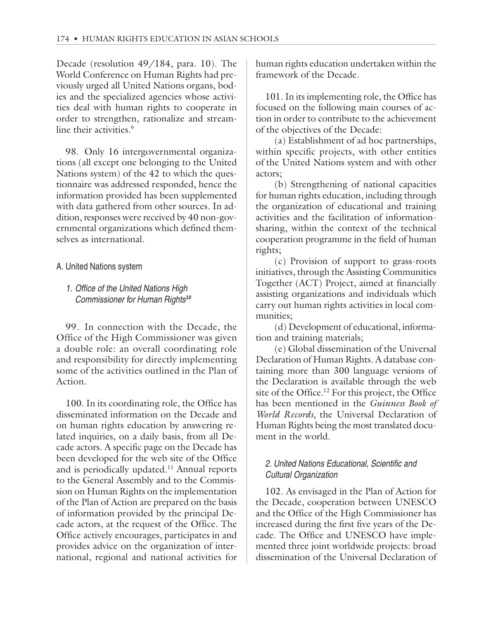Decade (resolution 49/184, para. 10). The World Conference on Human Rights had previously urged all United Nations organs, bodies and the specialized agencies whose activities deal with human rights to cooperate in order to strengthen, rationalize and streamline their activities.<sup>9</sup>

98. Only 16 intergovernmental organizations (all except one belonging to the United Nations system) of the 42 to which the questionnaire was addressed responded, hence the information provided has been supplemented with data gathered from other sources. In addition, responses were received by 40 non-governmental organizations which defined themselves as international.

## A. United Nations system

## 1. Office of the United Nations High Commissioner for Human Rights**<sup>10</sup>**

99. In connection with the Decade, the Office of the High Commissioner was given a double role: an overall coordinating role and responsibility for directly implementing some of the activities outlined in the Plan of Action.

100. In its coordinating role, the Office has disseminated information on the Decade and on human rights education by answering related inquiries, on a daily basis, from all Decade actors. A specific page on the Decade has been developed for the web site of the Office and is periodically updated.<sup>11</sup> Annual reports to the General Assembly and to the Commission on Human Rights on the implementation of the Plan of Action are prepared on the basis of information provided by the principal Decade actors, at the request of the Office. The Office actively encourages, participates in and provides advice on the organization of international, regional and national activities for

human rights education undertaken within the framework of the Decade.

101. In its implementing role, the Office has focused on the following main courses of action in order to contribute to the achievement of the objectives of the Decade:

(a) Establishment of ad hoc partnerships, within specific projects, with other entities of the United Nations system and with other actors;

(b) Strengthening of national capacities for human rights education, including through the organization of educational and training activities and the facilitation of informationsharing, within the context of the technical cooperation programme in the field of human rights;

(c) Provision of support to grass-roots initiatives, through the Assisting Communities Together (ACT) Project, aimed at financially assisting organizations and individuals which carry out human rights activities in local communities;

(d) Development of educational, information and training materials;

(e) Global dissemination of the Universal Declaration of Human Rights. A database containing more than 300 language versions of the Declaration is available through the web site of the Office.<sup>12</sup> For this project, the Office has been mentioned in the *Guinness Book of World Records*, the Universal Declaration of Human Rights being the most translated document in the world.

## 2. United Nations Educational, Scientific and Cultural Organization

102. As envisaged in the Plan of Action for the Decade, cooperation between UNESCO and the Office of the High Commissioner has increased during the first five years of the Decade. The Office and UNESCO have implemented three joint worldwide projects: broad dissemination of the Universal Declaration of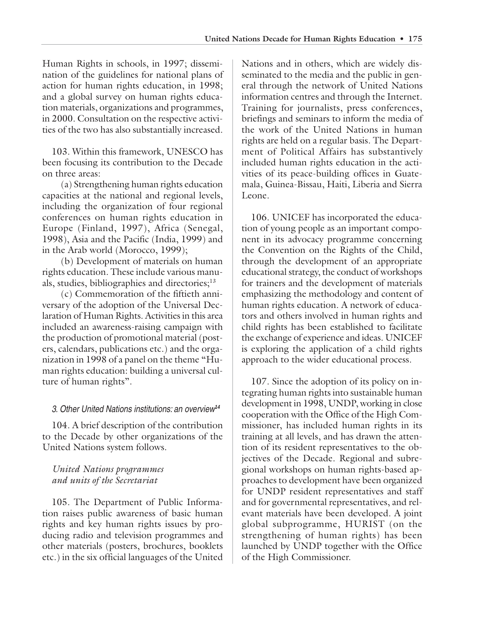Human Rights in schools, in 1997; dissemination of the guidelines for national plans of action for human rights education, in 1998; and a global survey on human rights education materials, organizations and programmes, in 2000. Consultation on the respective activities of the two has also substantially increased.

103. Within this framework, UNESCO has been focusing its contribution to the Decade on three areas:

(a) Strengthening human rights education capacities at the national and regional levels, including the organization of four regional conferences on human rights education in Europe (Finland, 1997), Africa (Senegal, 1998), Asia and the Pacific (India, 1999) and in the Arab world (Morocco, 1999);

(b) Development of materials on human rights education. These include various manuals, studies, bibliographies and directories;<sup>13</sup>

(c) Commemoration of the fiftieth anniversary of the adoption of the Universal Declaration of Human Rights. Activities in this area included an awareness-raising campaign with the production of promotional material (posters, calendars, publications etc.) and the organization in 1998 of a panel on the theme "Human rights education: building a universal culture of human rights".

## 3. Other United Nations institutions: an overview**<sup>14</sup>**

104. A brief description of the contribution to the Decade by other organizations of the United Nations system follows.

## *United Nations programmes and units of the Secretariat*

105. The Department of Public Information raises public awareness of basic human rights and key human rights issues by producing radio and television programmes and other materials (posters, brochures, booklets etc.) in the six official languages of the United

Nations and in others, which are widely disseminated to the media and the public in general through the network of United Nations information centres and through the Internet. Training for journalists, press conferences, briefings and seminars to inform the media of the work of the United Nations in human rights are held on a regular basis. The Department of Political Affairs has substantively included human rights education in the activities of its peace-building offices in Guatemala, Guinea-Bissau, Haiti, Liberia and Sierra Leone.

106. UNICEF has incorporated the education of young people as an important component in its advocacy programme concerning the Convention on the Rights of the Child, through the development of an appropriate educational strategy, the conduct of workshops for trainers and the development of materials emphasizing the methodology and content of human rights education. A network of educators and others involved in human rights and child rights has been established to facilitate the exchange of experience and ideas. UNICEF is exploring the application of a child rights approach to the wider educational process.

107. Since the adoption of its policy on integrating human rights into sustainable human development in 1998, UNDP, working in close cooperation with the Office of the High Commissioner, has included human rights in its training at all levels, and has drawn the attention of its resident representatives to the objectives of the Decade. Regional and subregional workshops on human rights-based approaches to development have been organized for UNDP resident representatives and staff and for governmental representatives, and relevant materials have been developed. A joint global subprogramme, HURIST (on the strengthening of human rights) has been launched by UNDP together with the Office of the High Commissioner.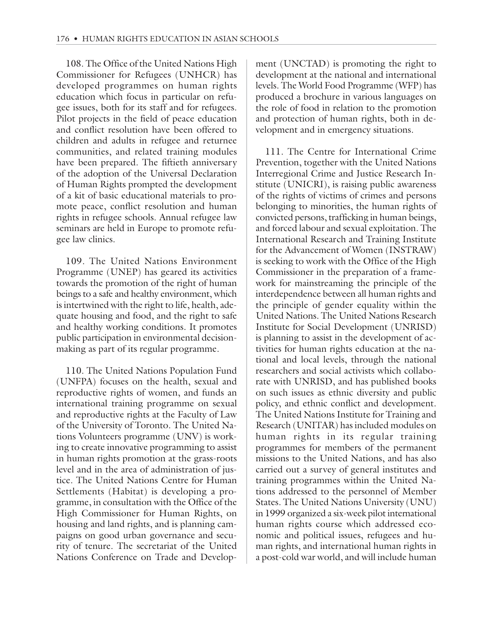108. The Office of the United Nations High Commissioner for Refugees (UNHCR) has developed programmes on human rights education which focus in particular on refugee issues, both for its staff and for refugees. Pilot projects in the field of peace education and conflict resolution have been offered to children and adults in refugee and returnee communities, and related training modules have been prepared. The fiftieth anniversary of the adoption of the Universal Declaration of Human Rights prompted the development of a kit of basic educational materials to promote peace, conflict resolution and human rights in refugee schools. Annual refugee law seminars are held in Europe to promote refugee law clinics.

109. The United Nations Environment Programme (UNEP) has geared its activities towards the promotion of the right of human beings to a safe and healthy environment, which is intertwined with the right to life, health, adequate housing and food, and the right to safe and healthy working conditions. It promotes public participation in environmental decisionmaking as part of its regular programme.

110. The United Nations Population Fund (UNFPA) focuses on the health, sexual and reproductive rights of women, and funds an international training programme on sexual and reproductive rights at the Faculty of Law of the University of Toronto. The United Nations Volunteers programme (UNV) is working to create innovative programming to assist in human rights promotion at the grass-roots level and in the area of administration of justice. The United Nations Centre for Human Settlements (Habitat) is developing a programme, in consultation with the Office of the High Commissioner for Human Rights, on housing and land rights, and is planning campaigns on good urban governance and security of tenure. The secretariat of the United Nations Conference on Trade and Development (UNCTAD) is promoting the right to development at the national and international levels. The World Food Programme (WFP) has produced a brochure in various languages on the role of food in relation to the promotion and protection of human rights, both in development and in emergency situations.

111. The Centre for International Crime Prevention, together with the United Nations Interregional Crime and Justice Research Institute (UNICRI), is raising public awareness of the rights of victims of crimes and persons belonging to minorities, the human rights of convicted persons, trafficking in human beings, and forced labour and sexual exploitation. The International Research and Training Institute for the Advancement of Women (INSTRAW) is seeking to work with the Office of the High Commissioner in the preparation of a framework for mainstreaming the principle of the interdependence between all human rights and the principle of gender equality within the United Nations. The United Nations Research Institute for Social Development (UNRISD) is planning to assist in the development of activities for human rights education at the national and local levels, through the national researchers and social activists which collaborate with UNRISD, and has published books on such issues as ethnic diversity and public policy, and ethnic conflict and development. The United Nations Institute for Training and Research (UNITAR) has included modules on human rights in its regular training programmes for members of the permanent missions to the United Nations, and has also carried out a survey of general institutes and training programmes within the United Nations addressed to the personnel of Member States. The United Nations University (UNU) in 1999 organized a six-week pilot international human rights course which addressed economic and political issues, refugees and human rights, and international human rights in a post-cold war world, and will include human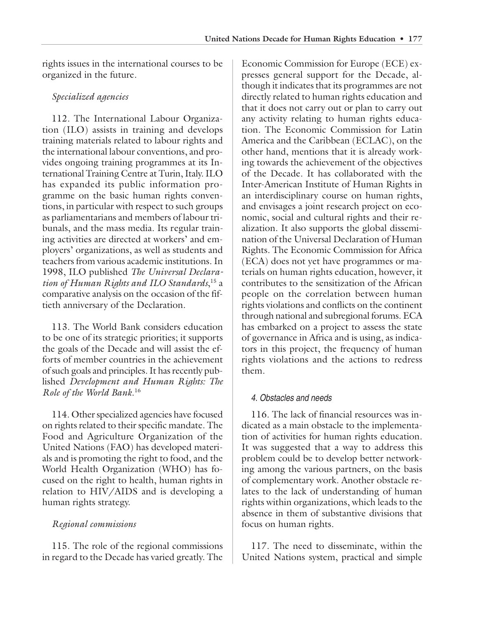rights issues in the international courses to be organized in the future.

## *Specialized agencies*

112. The International Labour Organization (ILO) assists in training and develops training materials related to labour rights and the international labour conventions, and provides ongoing training programmes at its International Training Centre at Turin, Italy. ILO has expanded its public information programme on the basic human rights conventions, in particular with respect to such groups as parliamentarians and members of labour tribunals, and the mass media. Its regular training activities are directed at workers' and employers' organizations, as well as students and teachers from various academic institutions. In 1998, ILO published *The Universal Declaration of Human Rights and ILO Standards*, 15 a comparative analysis on the occasion of the fiftieth anniversary of the Declaration.

113. The World Bank considers education to be one of its strategic priorities; it supports the goals of the Decade and will assist the efforts of member countries in the achievement of such goals and principles. It has recently published *Development and Human Rights: The Role of the World Bank*. 16

114. Other specialized agencies have focused on rights related to their specific mandate. The Food and Agriculture Organization of the United Nations (FAO) has developed materials and is promoting the right to food, and the World Health Organization (WHO) has focused on the right to health, human rights in relation to HIV/AIDS and is developing a human rights strategy.

## *Regional commissions*

115. The role of the regional commissions in regard to the Decade has varied greatly. The

Economic Commission for Europe (ECE) expresses general support for the Decade, although it indicates that its programmes are not directly related to human rights education and that it does not carry out or plan to carry out any activity relating to human rights education. The Economic Commission for Latin America and the Caribbean (ECLAC), on the other hand, mentions that it is already working towards the achievement of the objectives of the Decade. It has collaborated with the Inter-American Institute of Human Rights in an interdisciplinary course on human rights, and envisages a joint research project on economic, social and cultural rights and their realization. It also supports the global dissemination of the Universal Declaration of Human Rights. The Economic Commission for Africa (ECA) does not yet have programmes or materials on human rights education, however, it contributes to the sensitization of the African people on the correlation between human rights violations and conflicts on the continent through national and subregional forums. ECA has embarked on a project to assess the state of governance in Africa and is using, as indicators in this project, the frequency of human rights violations and the actions to redress them.

## 4. Obstacles and needs

116. The lack of financial resources was indicated as a main obstacle to the implementation of activities for human rights education. It was suggested that a way to address this problem could be to develop better networking among the various partners, on the basis of complementary work. Another obstacle relates to the lack of understanding of human rights within organizations, which leads to the absence in them of substantive divisions that focus on human rights.

117. The need to disseminate, within the United Nations system, practical and simple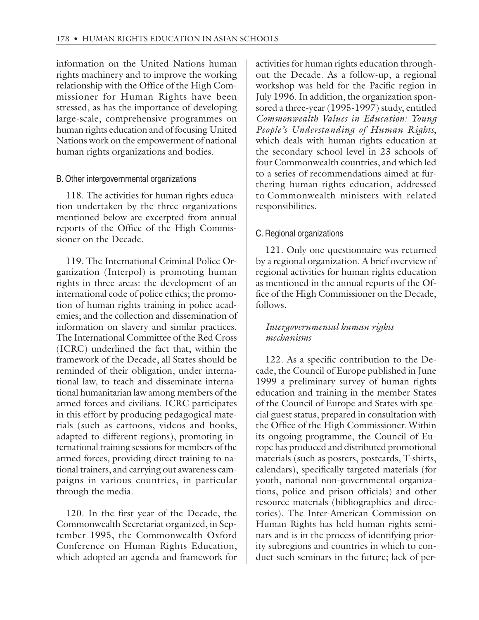information on the United Nations human rights machinery and to improve the working relationship with the Office of the High Commissioner for Human Rights have been stressed, as has the importance of developing large-scale, comprehensive programmes on human rights education and of focusing United Nations work on the empowerment of national human rights organizations and bodies.

#### B. Other intergovernmental organizations

118. The activities for human rights education undertaken by the three organizations mentioned below are excerpted from annual reports of the Office of the High Commissioner on the Decade.

119. The International Criminal Police Organization (Interpol) is promoting human rights in three areas: the development of an international code of police ethics; the promotion of human rights training in police academies; and the collection and dissemination of information on slavery and similar practices. The International Committee of the Red Cross (ICRC) underlined the fact that, within the framework of the Decade, all States should be reminded of their obligation, under international law, to teach and disseminate international humanitarian law among members of the armed forces and civilians. ICRC participates in this effort by producing pedagogical materials (such as cartoons, videos and books, adapted to different regions), promoting international training sessions for members of the armed forces, providing direct training to national trainers, and carrying out awareness campaigns in various countries, in particular through the media.

120. In the first year of the Decade, the Commonwealth Secretariat organized, in September 1995, the Commonwealth Oxford Conference on Human Rights Education, which adopted an agenda and framework for activities for human rights education throughout the Decade. As a follow-up, a regional workshop was held for the Pacific region in July 1996. In addition, the organization sponsored a three-year (1995-1997) study, entitled *Commonwealth Values in Education: Young People's Understanding of Human Rights*, which deals with human rights education at the secondary school level in 23 schools of four Commonwealth countries, and which led to a series of recommendations aimed at furthering human rights education, addressed to Commonwealth ministers with related responsibilities.

#### C. Regional organizations

121. Only one questionnaire was returned by a regional organization. A brief overview of regional activities for human rights education as mentioned in the annual reports of the Office of the High Commissioner on the Decade, follows.

#### *Intergovernmental human rights mechanisms*

122. As a specific contribution to the Decade, the Council of Europe published in June 1999 a preliminary survey of human rights education and training in the member States of the Council of Europe and States with special guest status, prepared in consultation with the Office of the High Commissioner. Within its ongoing programme, the Council of Europe has produced and distributed promotional materials (such as posters, postcards, T-shirts, calendars), specifically targeted materials (for youth, national non-governmental organizations, police and prison officials) and other resource materials (bibliographies and directories). The Inter-American Commission on Human Rights has held human rights seminars and is in the process of identifying priority subregions and countries in which to conduct such seminars in the future; lack of per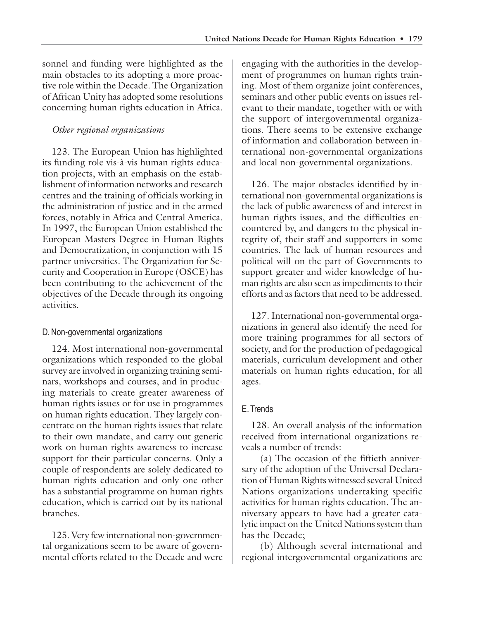sonnel and funding were highlighted as the main obstacles to its adopting a more proactive role within the Decade. The Organization of African Unity has adopted some resolutions concerning human rights education in Africa.

## *Other regional organizations*

123. The European Union has highlighted its funding role vis-à-vis human rights education projects, with an emphasis on the establishment of information networks and research centres and the training of officials working in the administration of justice and in the armed forces, notably in Africa and Central America. In 1997, the European Union established the European Masters Degree in Human Rights and Democratization, in conjunction with 15 partner universities. The Organization for Security and Cooperation in Europe (OSCE) has been contributing to the achievement of the objectives of the Decade through its ongoing activities.

## D. Non-governmental organizations

124. Most international non-governmental organizations which responded to the global survey are involved in organizing training seminars, workshops and courses, and in producing materials to create greater awareness of human rights issues or for use in programmes on human rights education. They largely concentrate on the human rights issues that relate to their own mandate, and carry out generic work on human rights awareness to increase support for their particular concerns. Only a couple of respondents are solely dedicated to human rights education and only one other has a substantial programme on human rights education, which is carried out by its national branches.

125. Very few international non-governmental organizations seem to be aware of governmental efforts related to the Decade and were engaging with the authorities in the development of programmes on human rights training. Most of them organize joint conferences, seminars and other public events on issues relevant to their mandate, together with or with the support of intergovernmental organizations. There seems to be extensive exchange of information and collaboration between international non-governmental organizations and local non-governmental organizations.

126. The major obstacles identified by international non-governmental organizations is the lack of public awareness of and interest in human rights issues, and the difficulties encountered by, and dangers to the physical integrity of, their staff and supporters in some countries. The lack of human resources and political will on the part of Governments to support greater and wider knowledge of human rights are also seen as impediments to their efforts and as factors that need to be addressed.

127. International non-governmental organizations in general also identify the need for more training programmes for all sectors of society, and for the production of pedagogical materials, curriculum development and other materials on human rights education, for all ages.

## E. Trends

128. An overall analysis of the information received from international organizations reveals a number of trends:

(a) The occasion of the fiftieth anniversary of the adoption of the Universal Declaration of Human Rights witnessed several United Nations organizations undertaking specific activities for human rights education. The anniversary appears to have had a greater catalytic impact on the United Nations system than has the Decade;

(b) Although several international and regional intergovernmental organizations are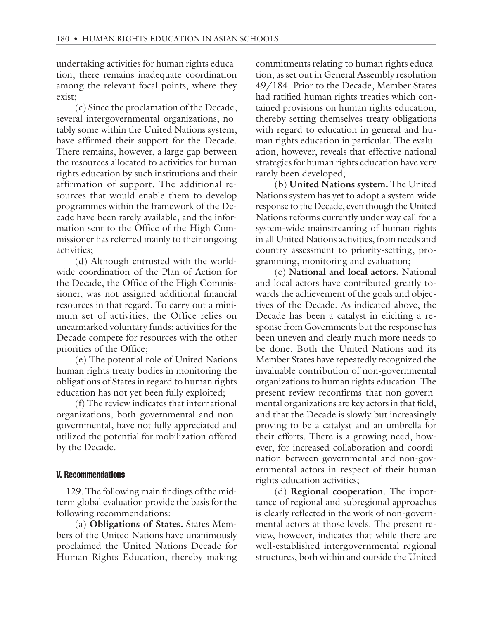undertaking activities for human rights education, there remains inadequate coordination among the relevant focal points, where they exist;

(c) Since the proclamation of the Decade, several intergovernmental organizations, notably some within the United Nations system, have affirmed their support for the Decade. There remains, however, a large gap between the resources allocated to activities for human rights education by such institutions and their affirmation of support. The additional resources that would enable them to develop programmes within the framework of the Decade have been rarely available, and the information sent to the Office of the High Commissioner has referred mainly to their ongoing activities;

(d) Although entrusted with the worldwide coordination of the Plan of Action for the Decade, the Office of the High Commissioner, was not assigned additional financial resources in that regard. To carry out a minimum set of activities, the Office relies on unearmarked voluntary funds; activities for the Decade compete for resources with the other priorities of the Office;

(e) The potential role of United Nations human rights treaty bodies in monitoring the obligations of States in regard to human rights education has not yet been fully exploited;

(f) The review indicates that international organizations, both governmental and nongovernmental, have not fully appreciated and utilized the potential for mobilization offered by the Decade.

#### V. Recommendations

129. The following main findings of the midterm global evaluation provide the basis for the following recommendations:

(a) **Obligations of States.** States Members of the United Nations have unanimously proclaimed the United Nations Decade for Human Rights Education, thereby making commitments relating to human rights education, as set out in General Assembly resolution 49/184. Prior to the Decade, Member States had ratified human rights treaties which contained provisions on human rights education, thereby setting themselves treaty obligations with regard to education in general and human rights education in particular. The evaluation, however, reveals that effective national strategies for human rights education have very rarely been developed;

(b) **United Nations system.** The United Nations system has yet to adopt a system-wide response to the Decade, even though the United Nations reforms currently under way call for a system-wide mainstreaming of human rights in all United Nations activities, from needs and country assessment to priority-setting, programming, monitoring and evaluation;

(c) **National and local actors.** National and local actors have contributed greatly towards the achievement of the goals and objectives of the Decade. As indicated above, the Decade has been a catalyst in eliciting a response from Governments but the response has been uneven and clearly much more needs to be done. Both the United Nations and its Member States have repeatedly recognized the invaluable contribution of non-governmental organizations to human rights education. The present review reconfirms that non-governmental organizations are key actors in that field, and that the Decade is slowly but increasingly proving to be a catalyst and an umbrella for their efforts. There is a growing need, however, for increased collaboration and coordination between governmental and non-governmental actors in respect of their human rights education activities;

(d) **Regional cooperation**. The importance of regional and subregional approaches is clearly reflected in the work of non-governmental actors at those levels. The present review, however, indicates that while there are well-established intergovernmental regional structures, both within and outside the United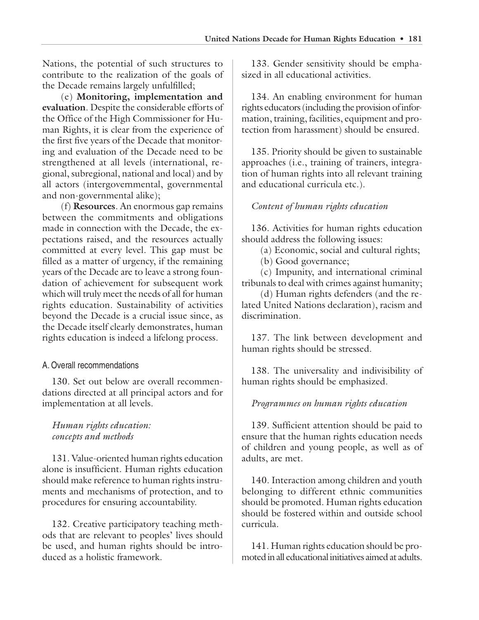Nations, the potential of such structures to contribute to the realization of the goals of the Decade remains largely unfulfilled;

(e) **Monitoring, implementation and evaluation**. Despite the considerable efforts of the Office of the High Commissioner for Human Rights, it is clear from the experience of the first five years of the Decade that monitoring and evaluation of the Decade need to be strengthened at all levels (international, regional, subregional, national and local) and by all actors (intergovernmental, governmental and non-governmental alike);

(f) **Resources**. An enormous gap remains between the commitments and obligations made in connection with the Decade, the expectations raised, and the resources actually committed at every level. This gap must be filled as a matter of urgency, if the remaining years of the Decade are to leave a strong foundation of achievement for subsequent work which will truly meet the needs of all for human rights education. Sustainability of activities beyond the Decade is a crucial issue since, as the Decade itself clearly demonstrates, human rights education is indeed a lifelong process.

#### A. Overall recommendations

130. Set out below are overall recommendations directed at all principal actors and for implementation at all levels.

#### *Human rights education: concepts and methods*

131. Value-oriented human rights education alone is insufficient. Human rights education should make reference to human rights instruments and mechanisms of protection, and to procedures for ensuring accountability.

132. Creative participatory teaching methods that are relevant to peoples' lives should be used, and human rights should be introduced as a holistic framework.

133. Gender sensitivity should be emphasized in all educational activities.

134. An enabling environment for human rights educators (including the provision of information, training, facilities, equipment and protection from harassment) should be ensured.

135. Priority should be given to sustainable approaches (i.e., training of trainers, integration of human rights into all relevant training and educational curricula etc.).

#### *Content of human rights education*

136. Activities for human rights education should address the following issues:

(a) Economic, social and cultural rights;

(b) Good governance;

(c) Impunity, and international criminal tribunals to deal with crimes against humanity;

(d) Human rights defenders (and the related United Nations declaration), racism and discrimination.

137. The link between development and human rights should be stressed.

138. The universality and indivisibility of human rights should be emphasized.

#### *Programmes on human rights education*

139. Sufficient attention should be paid to ensure that the human rights education needs of children and young people, as well as of adults, are met.

140. Interaction among children and youth belonging to different ethnic communities should be promoted. Human rights education should be fostered within and outside school curricula.

141. Human rights education should be promoted in all educational initiatives aimed at adults.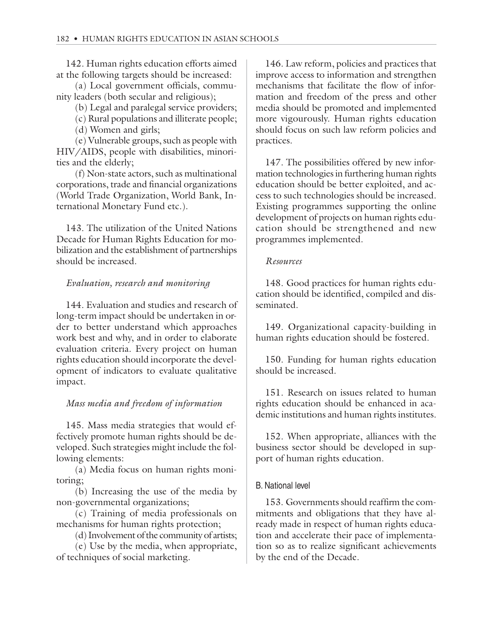142. Human rights education efforts aimed at the following targets should be increased:

(a) Local government officials, community leaders (both secular and religious);

- (b) Legal and paralegal service providers;
- (c) Rural populations and illiterate people;

(d) Women and girls;

(e) Vulnerable groups, such as people with HIV/AIDS, people with disabilities, minorities and the elderly;

(f) Non-state actors, such as multinational corporations, trade and financial organizations (World Trade Organization, World Bank, International Monetary Fund etc.).

143. The utilization of the United Nations Decade for Human Rights Education for mobilization and the establishment of partnerships should be increased.

#### *Evaluation, research and monitoring*

144. Evaluation and studies and research of long-term impact should be undertaken in order to better understand which approaches work best and why, and in order to elaborate evaluation criteria. Every project on human rights education should incorporate the development of indicators to evaluate qualitative impact.

#### *Mass media and freedom of information*

145. Mass media strategies that would effectively promote human rights should be developed. Such strategies might include the following elements:

(a) Media focus on human rights monitoring;

(b) Increasing the use of the media by non-governmental organizations;

(c) Training of media professionals on mechanisms for human rights protection;

(d) Involvement of the community of artists;

(e) Use by the media, when appropriate, of techniques of social marketing.

146. Law reform, policies and practices that improve access to information and strengthen mechanisms that facilitate the flow of information and freedom of the press and other media should be promoted and implemented more vigourously. Human rights education should focus on such law reform policies and practices.

147. The possibilities offered by new information technologies in furthering human rights education should be better exploited, and access to such technologies should be increased. Existing programmes supporting the online development of projects on human rights education should be strengthened and new programmes implemented.

#### *Resources*

148. Good practices for human rights education should be identified, compiled and disseminated.

149. Organizational capacity-building in human rights education should be fostered.

150. Funding for human rights education should be increased.

151. Research on issues related to human rights education should be enhanced in academic institutions and human rights institutes.

152. When appropriate, alliances with the business sector should be developed in support of human rights education.

#### B. National level

153. Governments should reaffirm the commitments and obligations that they have already made in respect of human rights education and accelerate their pace of implementation so as to realize significant achievements by the end of the Decade.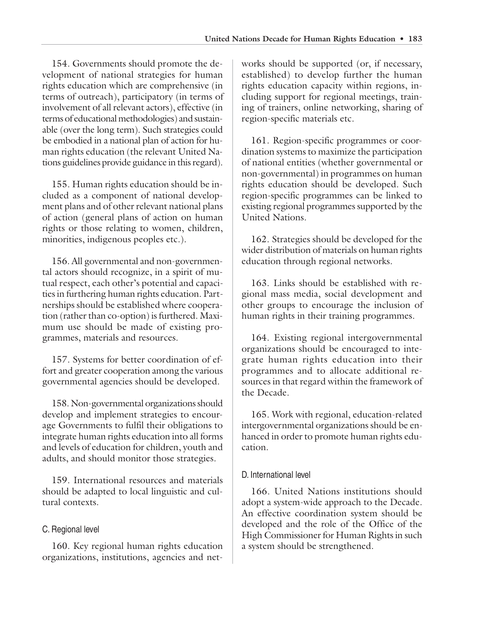154. Governments should promote the development of national strategies for human rights education which are comprehensive (in terms of outreach), participatory (in terms of involvement of all relevant actors), effective (in terms of educational methodologies) and sustainable (over the long term). Such strategies could be embodied in a national plan of action for human rights education (the relevant United Nations guidelines provide guidance in this regard).

155. Human rights education should be included as a component of national development plans and of other relevant national plans of action (general plans of action on human rights or those relating to women, children, minorities, indigenous peoples etc.).

156. All governmental and non-governmental actors should recognize, in a spirit of mutual respect, each other's potential and capacities in furthering human rights education. Partnerships should be established where cooperation (rather than co-option) is furthered. Maximum use should be made of existing programmes, materials and resources.

157. Systems for better coordination of effort and greater cooperation among the various governmental agencies should be developed.

158. Non-governmental organizations should develop and implement strategies to encourage Governments to fulfil their obligations to integrate human rights education into all forms and levels of education for children, youth and adults, and should monitor those strategies.

159. International resources and materials should be adapted to local linguistic and cultural contexts.

## C. Regional level

160. Key regional human rights education organizations, institutions, agencies and networks should be supported (or, if necessary, established) to develop further the human rights education capacity within regions, including support for regional meetings, training of trainers, online networking, sharing of region-specific materials etc.

161. Region-specific programmes or coordination systems to maximize the participation of national entities (whether governmental or non-governmental) in programmes on human rights education should be developed. Such region-specific programmes can be linked to existing regional programmes supported by the United Nations.

162. Strategies should be developed for the wider distribution of materials on human rights education through regional networks.

163. Links should be established with regional mass media, social development and other groups to encourage the inclusion of human rights in their training programmes.

164. Existing regional intergovernmental organizations should be encouraged to integrate human rights education into their programmes and to allocate additional resources in that regard within the framework of the Decade.

165. Work with regional, education-related intergovernmental organizations should be enhanced in order to promote human rights education.

## D. International level

166. United Nations institutions should adopt a system-wide approach to the Decade. An effective coordination system should be developed and the role of the Office of the High Commissioner for Human Rights in such a system should be strengthened.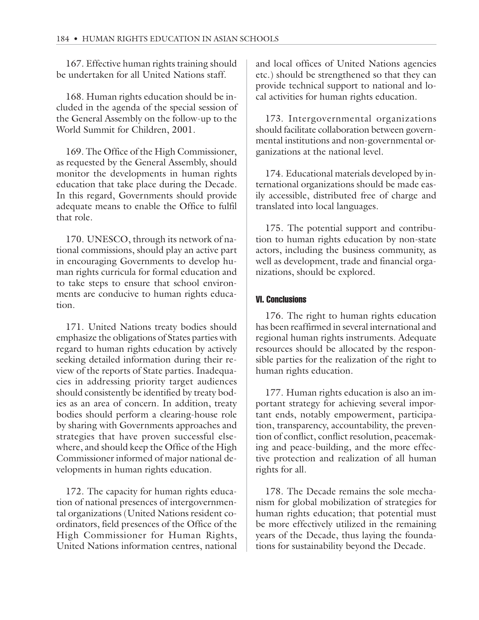167. Effective human rights training should be undertaken for all United Nations staff.

168. Human rights education should be included in the agenda of the special session of the General Assembly on the follow-up to the World Summit for Children, 2001.

169. The Office of the High Commissioner, as requested by the General Assembly, should monitor the developments in human rights education that take place during the Decade. In this regard, Governments should provide adequate means to enable the Office to fulfil that role.

170. UNESCO, through its network of national commissions, should play an active part in encouraging Governments to develop human rights curricula for formal education and to take steps to ensure that school environments are conducive to human rights education.

171. United Nations treaty bodies should emphasize the obligations of States parties with regard to human rights education by actively seeking detailed information during their review of the reports of State parties. Inadequacies in addressing priority target audiences should consistently be identified by treaty bodies as an area of concern. In addition, treaty bodies should perform a clearing-house role by sharing with Governments approaches and strategies that have proven successful elsewhere, and should keep the Office of the High Commissioner informed of major national developments in human rights education.

172. The capacity for human rights education of national presences of intergovernmental organizations (United Nations resident coordinators, field presences of the Office of the High Commissioner for Human Rights, United Nations information centres, national and local offices of United Nations agencies etc.) should be strengthened so that they can provide technical support to national and local activities for human rights education.

173. Intergovernmental organizations should facilitate collaboration between governmental institutions and non-governmental organizations at the national level.

174. Educational materials developed by international organizations should be made easily accessible, distributed free of charge and translated into local languages.

175. The potential support and contribution to human rights education by non-state actors, including the business community, as well as development, trade and financial organizations, should be explored.

#### VI. Conclusions

176. The right to human rights education has been reaffirmed in several international and regional human rights instruments. Adequate resources should be allocated by the responsible parties for the realization of the right to human rights education.

177. Human rights education is also an important strategy for achieving several important ends, notably empowerment, participation, transparency, accountability, the prevention of conflict, conflict resolution, peacemaking and peace-building, and the more effective protection and realization of all human rights for all.

178. The Decade remains the sole mechanism for global mobilization of strategies for human rights education; that potential must be more effectively utilized in the remaining years of the Decade, thus laying the foundations for sustainability beyond the Decade.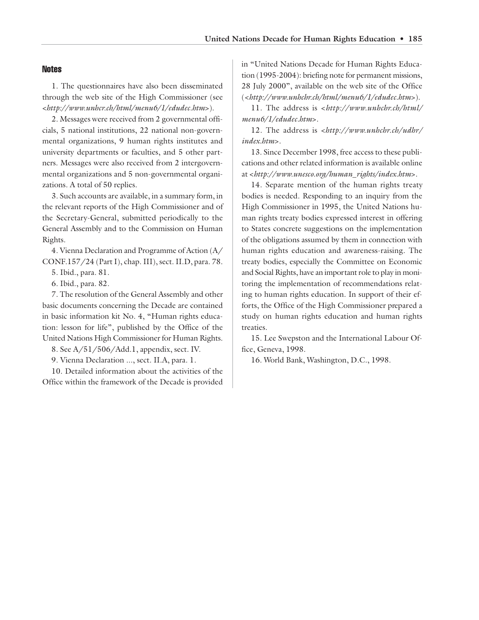#### **Notes**

1. The questionnaires have also been disseminated through the web site of the High Commissioner (see <*http://www.unhcr.ch/html/menu6/1/edudec.htm*>).

2. Messages were received from 2 governmental officials, 5 national institutions, 22 national non-governmental organizations, 9 human rights institutes and university departments or faculties, and 5 other partners. Messages were also received from 2 intergovernmental organizations and 5 non-governmental organizations. A total of 50 replies.

3. Such accounts are available, in a summary form, in the relevant reports of the High Commissioner and of the Secretary-General, submitted periodically to the General Assembly and to the Commission on Human Rights.

4. Vienna Declaration and Programme of Action (A/ CONF.157/24 (Part I), chap. III), sect. II.D, para. 78.

5. Ibid., para. 81.

6. Ibid., para. 82.

7. The resolution of the General Assembly and other basic documents concerning the Decade are contained in basic information kit No. 4, "Human rights education: lesson for life", published by the Office of the United Nations High Commissioner for Human Rights.

8. See A/51/506/Add.1, appendix, sect. IV.

9. Vienna Declaration ..., sect. II.A, para. 1.

10. Detailed information about the activities of the Office within the framework of the Decade is provided in "United Nations Decade for Human Rights Education (1995-2004): briefing note for permanent missions, 28 July 2000", available on the web site of the Office (<*http://www.unhchr.ch/html/menu6/1/edudec.htm*>).

11. The address is <*http://www.unhchr.ch/html/ menu6/1/edudec.htm*>.

12. The address is <*http://www.unhchr.ch/udhr/ index.htm*>.

13. Since December 1998, free access to these publications and other related information is available online at <*http://www.unesco.org/human\_rights/index.htm*>.

14. Separate mention of the human rights treaty bodies is needed. Responding to an inquiry from the High Commissioner in 1995, the United Nations human rights treaty bodies expressed interest in offering to States concrete suggestions on the implementation of the obligations assumed by them in connection with human rights education and awareness-raising. The treaty bodies, especially the Committee on Economic and Social Rights, have an important role to play in monitoring the implementation of recommendations relating to human rights education. In support of their efforts, the Office of the High Commissioner prepared a study on human rights education and human rights treaties.

15. Lee Swepston and the International Labour Office, Geneva, 1998.

16. World Bank, Washington, D.C., 1998.